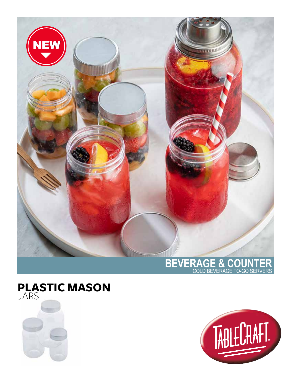

## **BEVERAGE & COUNTER** COLD BEVERAGE TO-GO SERVERS





## **PLASTIC MASON** JARS